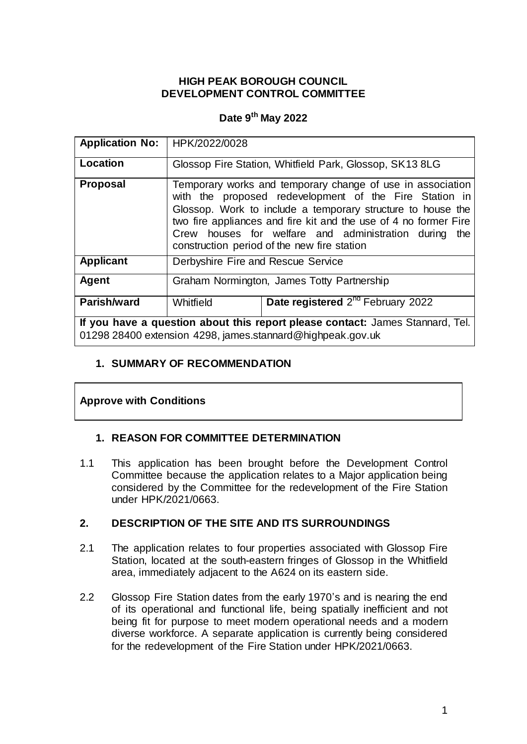## **HIGH PEAK BOROUGH COUNCIL DEVELOPMENT CONTROL COMMITTEE**

# **Date 9 th May 2022**

| <b>Application No:</b>                                                                                                                      | HPK/2022/0028                                                                                                                                                                                                                                                                                                                                                   |                                                         |  |
|---------------------------------------------------------------------------------------------------------------------------------------------|-----------------------------------------------------------------------------------------------------------------------------------------------------------------------------------------------------------------------------------------------------------------------------------------------------------------------------------------------------------------|---------------------------------------------------------|--|
| Location                                                                                                                                    |                                                                                                                                                                                                                                                                                                                                                                 | Glossop Fire Station, Whitfield Park, Glossop, SK13 8LG |  |
| <b>Proposal</b>                                                                                                                             | Temporary works and temporary change of use in association<br>with the proposed redevelopment of the Fire Station in<br>Glossop. Work to include a temporary structure to house the<br>two fire appliances and fire kit and the use of 4 no former Fire<br>Crew houses for welfare and administration during the<br>construction period of the new fire station |                                                         |  |
| <b>Applicant</b>                                                                                                                            | Derbyshire Fire and Rescue Service                                                                                                                                                                                                                                                                                                                              |                                                         |  |
| Agent                                                                                                                                       | Graham Normington, James Totty Partnership                                                                                                                                                                                                                                                                                                                      |                                                         |  |
| Parish/ward                                                                                                                                 | Whitfield                                                                                                                                                                                                                                                                                                                                                       | Date registered 2 <sup>nd</sup> February 2022           |  |
| If you have a question about this report please contact: James Stannard, Tel.<br>01298 28400 extension 4298, james.stannard@highpeak.gov.uk |                                                                                                                                                                                                                                                                                                                                                                 |                                                         |  |

# **1. SUMMARY OF RECOMMENDATION**

# **Approve with Conditions**

## **1. REASON FOR COMMITTEE DETERMINATION**

1.1 This application has been brought before the Development Control Committee because the application relates to a Major application being considered by the Committee for the redevelopment of the Fire Station under HPK/2021/0663.

## **2. DESCRIPTION OF THE SITE AND ITS SURROUNDINGS**

- 2.1 The application relates to four properties associated with Glossop Fire Station, located at the south-eastern fringes of Glossop in the Whitfield area, immediately adjacent to the A624 on its eastern side.
- 2.2 Glossop Fire Station dates from the early 1970's and is nearing the end of its operational and functional life, being spatially inefficient and not being fit for purpose to meet modern operational needs and a modern diverse workforce. A separate application is currently being considered for the redevelopment of the Fire Station under HPK/2021/0663.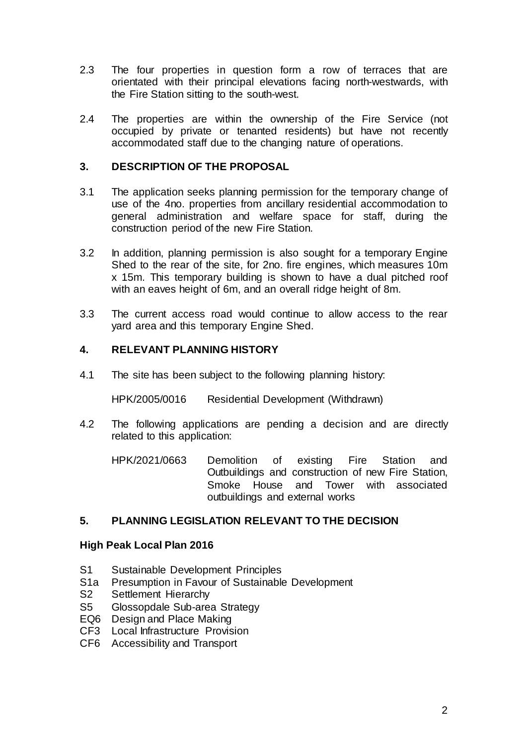- 2.3 The four properties in question form a row of terraces that are orientated with their principal elevations facing north-westwards, with the Fire Station sitting to the south-west.
- 2.4 The properties are within the ownership of the Fire Service (not occupied by private or tenanted residents) but have not recently accommodated staff due to the changing nature of operations.

### **3. DESCRIPTION OF THE PROPOSAL**

- 3.1 The application seeks planning permission for the temporary change of use of the 4no. properties from ancillary residential accommodation to general administration and welfare space for staff, during the construction period of the new Fire Station.
- 3.2 In addition, planning permission is also sought for a temporary Engine Shed to the rear of the site, for 2no. fire engines, which measures 10m x 15m. This temporary building is shown to have a dual pitched roof with an eaves height of 6m, and an overall ridge height of 8m.
- 3.3 The current access road would continue to allow access to the rear yard area and this temporary Engine Shed.

#### **4. RELEVANT PLANNING HISTORY**

4.1 The site has been subject to the following planning history:

HPK/2005/0016 Residential Development (Withdrawn)

- 4.2 The following applications are pending a decision and are directly related to this application:
	- HPK/2021/0663 Demolition of existing Fire Station and Outbuildings and construction of new Fire Station, Smoke House and Tower with associated outbuildings and external works

### **5. PLANNING LEGISLATION RELEVANT TO THE DECISION**

#### **High Peak Local Plan 2016**

- S1 Sustainable Development Principles
- S1a Presumption in Favour of Sustainable Development
- S2 Settlement Hierarchy
- S5 Glossopdale Sub-area Strategy
- EQ6 Design and Place Making
- CF3 Local Infrastructure Provision
- CF6 Accessibility and Transport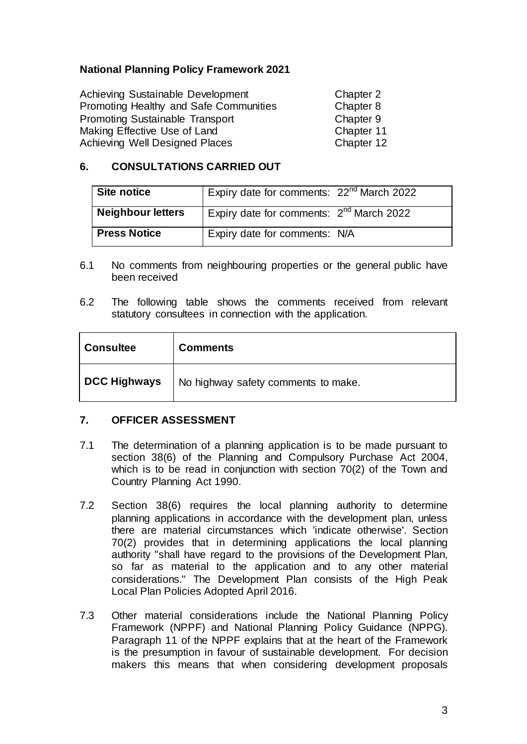## **National Planning Policy Framework 2021**

| Achieving Sustainable Development      | Chapter 2  |
|----------------------------------------|------------|
| Promoting Healthy and Safe Communities | Chapter 8  |
| <b>Promoting Sustainable Transport</b> | Chapter 9  |
| Making Effective Use of Land           | Chapter 11 |
| <b>Achieving Well Designed Places</b>  | Chapter 12 |

# **6. CONSULTATIONS CARRIED OUT**

| Site notice         | Expiry date for comments: 22 <sup>nd</sup> March 2022 |  |
|---------------------|-------------------------------------------------------|--|
| Neighbour letters   | Expiry date for comments: 2 <sup>nd</sup> March 2022  |  |
| <b>Press Notice</b> | Expiry date for comments: N/A                         |  |

- 6.1 No comments from neighbouring properties or the general public have been received
- 6.2 The following table shows the comments received from relevant statutory consultees in connection with the application.

| <b>Consultee</b>    | <b>Comments</b>                     |  |
|---------------------|-------------------------------------|--|
| <b>DCC Highways</b> | No highway safety comments to make. |  |

## **7. OFFICER ASSESSMENT**

- 7.1 The determination of a planning application is to be made pursuant to section 38(6) of the Planning and Compulsory Purchase Act 2004, which is to be read in conjunction with section 70(2) of the Town and Country Planning Act 1990.
- 7.2 Section 38(6) requires the local planning authority to determine planning applications in accordance with the development plan, unless there are material circumstances which 'indicate otherwise'. Section 70(2) provides that in determining applications the local planning authority "shall have regard to the provisions of the Development Plan, so far as material to the application and to any other material considerations." The Development Plan consists of the High Peak Local Plan Policies Adopted April 2016.
- 7.3 Other material considerations include the National Planning Policy Framework (NPPF) and National Planning Policy Guidance (NPPG). Paragraph 11 of the NPPF explains that at the heart of the Framework is the presumption in favour of sustainable development. For decision makers this means that when considering development proposals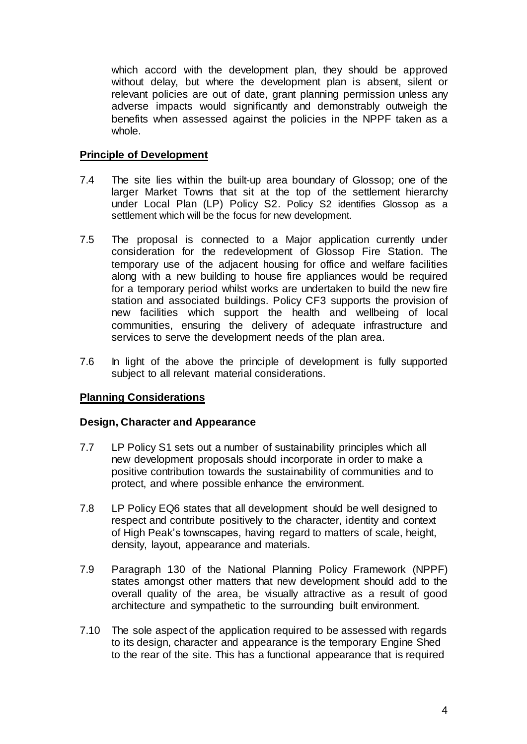which accord with the development plan, they should be approved without delay, but where the development plan is absent, silent or relevant policies are out of date, grant planning permission unless any adverse impacts would significantly and demonstrably outweigh the benefits when assessed against the policies in the NPPF taken as a whole.

#### **Principle of Development**

- 7.4 The site lies within the built-up area boundary of Glossop; one of the larger Market Towns that sit at the top of the settlement hierarchy under Local Plan (LP) Policy S2. Policy S2 identifies Glossop as a settlement which will be the focus for new development.
- 7.5 The proposal is connected to a Major application currently under consideration for the redevelopment of Glossop Fire Station. The temporary use of the adjacent housing for office and welfare facilities along with a new building to house fire appliances would be required for a temporary period whilst works are undertaken to build the new fire station and associated buildings. Policy CF3 supports the provision of new facilities which support the health and wellbeing of local communities, ensuring the delivery of adequate infrastructure and services to serve the development needs of the plan area.
- 7.6 In light of the above the principle of development is fully supported subject to all relevant material considerations.

## **Planning Considerations**

#### **Design, Character and Appearance**

- 7.7 LP Policy S1 sets out a number of sustainability principles which all new development proposals should incorporate in order to make a positive contribution towards the sustainability of communities and to protect, and where possible enhance the environment.
- 7.8 LP Policy EQ6 states that all development should be well designed to respect and contribute positively to the character, identity and context of High Peak's townscapes, having regard to matters of scale, height, density, layout, appearance and materials.
- 7.9 Paragraph 130 of the National Planning Policy Framework (NPPF) states amongst other matters that new development should add to the overall quality of the area, be visually attractive as a result of good architecture and sympathetic to the surrounding built environment.
- 7.10 The sole aspect of the application required to be assessed with regards to its design, character and appearance is the temporary Engine Shed to the rear of the site. This has a functional appearance that is required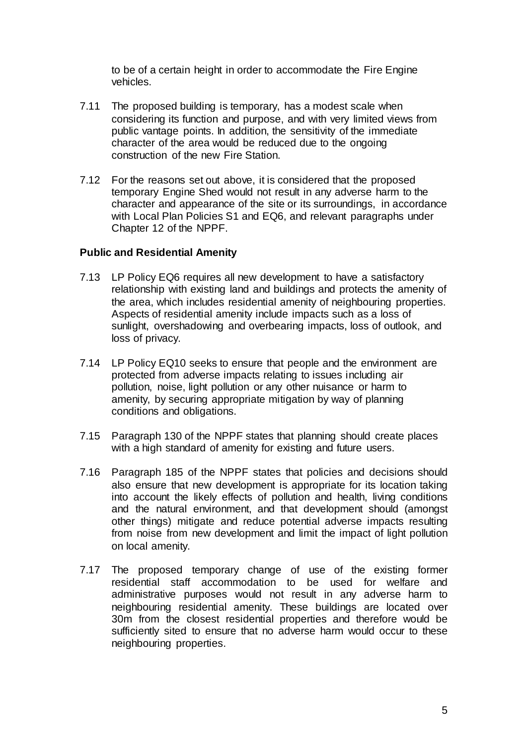to be of a certain height in order to accommodate the Fire Engine vehicles.

- 7.11 The proposed building is temporary, has a modest scale when considering its function and purpose, and with very limited views from public vantage points. In addition, the sensitivity of the immediate character of the area would be reduced due to the ongoing construction of the new Fire Station.
- 7.12 For the reasons set out above, it is considered that the proposed temporary Engine Shed would not result in any adverse harm to the character and appearance of the site or its surroundings, in accordance with Local Plan Policies S1 and EQ6, and relevant paragraphs under Chapter 12 of the NPPF.

#### **Public and Residential Amenity**

- 7.13 LP Policy EQ6 requires all new development to have a satisfactory relationship with existing land and buildings and protects the amenity of the area, which includes residential amenity of neighbouring properties. Aspects of residential amenity include impacts such as a loss of sunlight, overshadowing and overbearing impacts, loss of outlook, and loss of privacy.
- 7.14 LP Policy EQ10 seeks to ensure that people and the environment are protected from adverse impacts relating to issues including air pollution, noise, light pollution or any other nuisance or harm to amenity, by securing appropriate mitigation by way of planning conditions and obligations.
- 7.15 Paragraph 130 of the NPPF states that planning should create places with a high standard of amenity for existing and future users.
- 7.16 Paragraph 185 of the NPPF states that policies and decisions should also ensure that new development is appropriate for its location taking into account the likely effects of pollution and health, living conditions and the natural environment, and that development should (amongst other things) mitigate and reduce potential adverse impacts resulting from noise from new development and limit the impact of light pollution on local amenity.
- 7.17 The proposed temporary change of use of the existing former residential staff accommodation to be used for welfare and administrative purposes would not result in any adverse harm to neighbouring residential amenity. These buildings are located over 30m from the closest residential properties and therefore would be sufficiently sited to ensure that no adverse harm would occur to these neighbouring properties.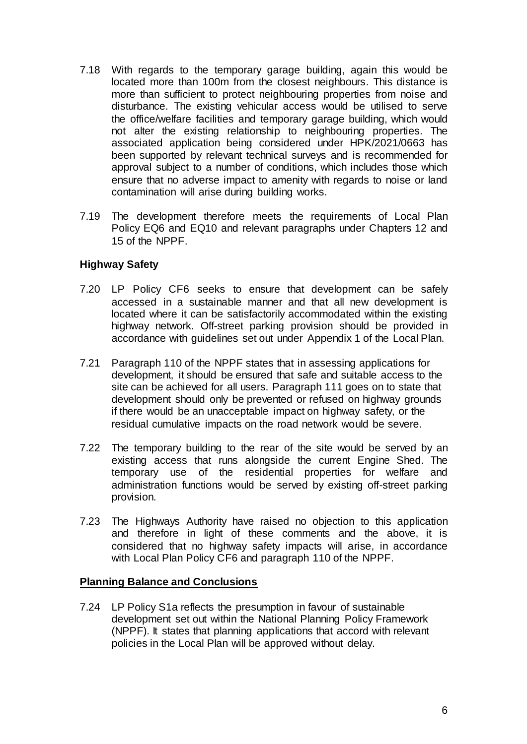- 7.18 With regards to the temporary garage building, again this would be located more than 100m from the closest neighbours. This distance is more than sufficient to protect neighbouring properties from noise and disturbance. The existing vehicular access would be utilised to serve the office/welfare facilities and temporary garage building, which would not alter the existing relationship to neighbouring properties. The associated application being considered under HPK/2021/0663 has been supported by relevant technical surveys and is recommended for approval subject to a number of conditions, which includes those which ensure that no adverse impact to amenity with regards to noise or land contamination will arise during building works.
- 7.19 The development therefore meets the requirements of Local Plan Policy EQ6 and EQ10 and relevant paragraphs under Chapters 12 and 15 of the NPPF.

#### **Highway Safety**

- 7.20 LP Policy CF6 seeks to ensure that development can be safely accessed in a sustainable manner and that all new development is located where it can be satisfactorily accommodated within the existing highway network. Off-street parking provision should be provided in accordance with guidelines set out under Appendix 1 of the Local Plan.
- 7.21 Paragraph 110 of the NPPF states that in assessing applications for development, it should be ensured that safe and suitable access to the site can be achieved for all users. Paragraph 111 goes on to state that development should only be prevented or refused on highway grounds if there would be an unacceptable impact on highway safety, or the residual cumulative impacts on the road network would be severe.
- 7.22 The temporary building to the rear of the site would be served by an existing access that runs alongside the current Engine Shed. The temporary use of the residential properties for welfare and administration functions would be served by existing off-street parking provision.
- 7.23 The Highways Authority have raised no objection to this application and therefore in light of these comments and the above, it is considered that no highway safety impacts will arise, in accordance with Local Plan Policy CF6 and paragraph 110 of the NPPF.

#### **Planning Balance and Conclusions**

7.24 LP Policy S1a reflects the presumption in favour of sustainable development set out within the National Planning Policy Framework (NPPF). It states that planning applications that accord with relevant policies in the Local Plan will be approved without delay.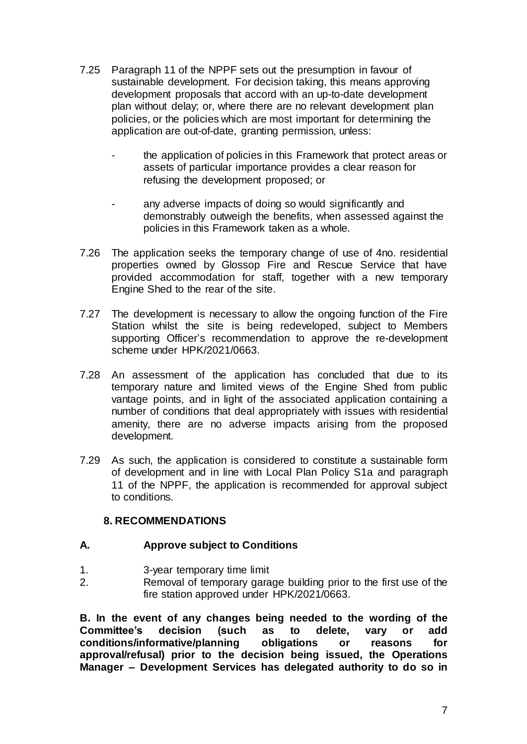- 7.25 Paragraph 11 of the NPPF sets out the presumption in favour of sustainable development. For decision taking, this means approving development proposals that accord with an up-to-date development plan without delay; or, where there are no relevant development plan policies, or the policies which are most important for determining the application are out-of-date, granting permission, unless:
	- the application of policies in this Framework that protect areas or assets of particular importance provides a clear reason for refusing the development proposed; or
	- any adverse impacts of doing so would significantly and demonstrably outweigh the benefits, when assessed against the policies in this Framework taken as a whole.
- 7.26 The application seeks the temporary change of use of 4no. residential properties owned by Glossop Fire and Rescue Service that have provided accommodation for staff, together with a new temporary Engine Shed to the rear of the site.
- 7.27 The development is necessary to allow the ongoing function of the Fire Station whilst the site is being redeveloped, subject to Members supporting Officer's recommendation to approve the re-development scheme under HPK/2021/0663.
- 7.28 An assessment of the application has concluded that due to its temporary nature and limited views of the Engine Shed from public vantage points, and in light of the associated application containing a number of conditions that deal appropriately with issues with residential amenity, there are no adverse impacts arising from the proposed development.
- 7.29 As such, the application is considered to constitute a sustainable form of development and in line with Local Plan Policy S1a and paragraph 11 of the NPPF, the application is recommended for approval subject to conditions.

## **8. RECOMMENDATIONS**

#### **A. Approve subject to Conditions**

- 1. 3-year temporary time limit
- 2. Removal of temporary garage building prior to the first use of the fire station approved under HPK/2021/0663.

**B. In the event of any changes being needed to the wording of the Committee's decision (such as to delete, vary or add conditions/informative/planning obligations or reasons for approval/refusal) prior to the decision being issued, the Operations Manager – Development Services has delegated authority to do so in**